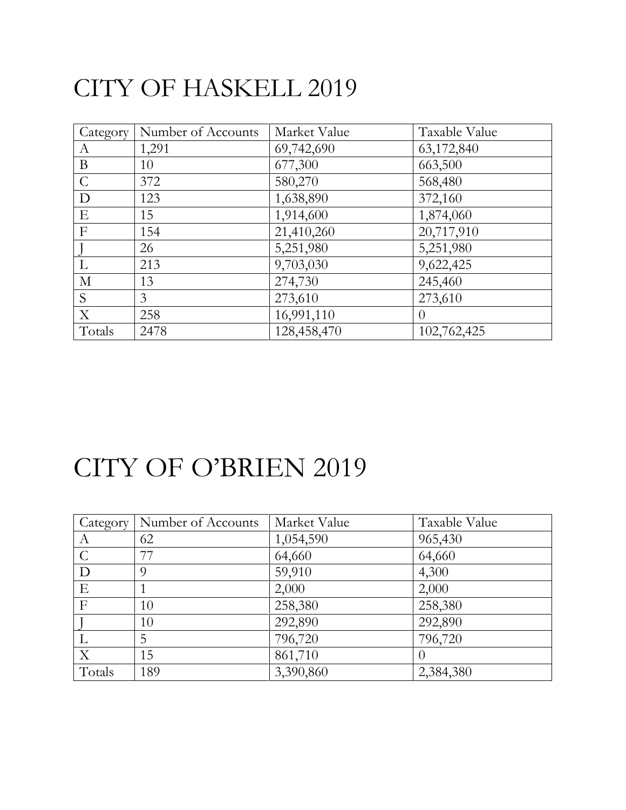#### CITY OF HASKELL 2019

| Category      | Number of Accounts | Market Value | Taxable Value  |
|---------------|--------------------|--------------|----------------|
| A             | 1,291              | 69,742,690   | 63,172,840     |
| B             | 10                 | 677,300      | 663,500        |
| $\mathcal{C}$ | 372                | 580,270      | 568,480        |
| D             | 123                | 1,638,890    | 372,160        |
| E             | 15                 | 1,914,600    | 1,874,060      |
| $\mathbf{F}$  | 154                | 21,410,260   | 20,717,910     |
|               | 26                 | 5,251,980    | 5,251,980      |
| L             | 213                | 9,703,030    | 9,622,425      |
| $\mathbf{M}$  | 13                 | 274,730      | 245,460        |
| S             | 3                  | 273,610      | 273,610        |
| $\mathbf X$   | 258                | 16,991,110   | $\overline{0}$ |
| Totals        | 2478               | 128,458,470  | 102,762,425    |

## CITY OF O'BRIEN 2019

| Category      | Number of Accounts | Market Value | Taxable Value |
|---------------|--------------------|--------------|---------------|
| A             | 62                 | 1,054,590    | 965,430       |
| $\mathcal{C}$ | 77                 | 64,660       | 64,660        |
| D             | Q                  | 59,910       | 4,300         |
| E             |                    | 2,000        | 2,000         |
| $\mathbf{F}$  | 10                 | 258,380      | 258,380       |
|               | 10                 | 292,890      | 292,890       |
|               | 5                  | 796,720      | 796,720       |
| X             | 15                 | 861,710      |               |
| Totals        | 189                | 3,390,860    | 2,384,380     |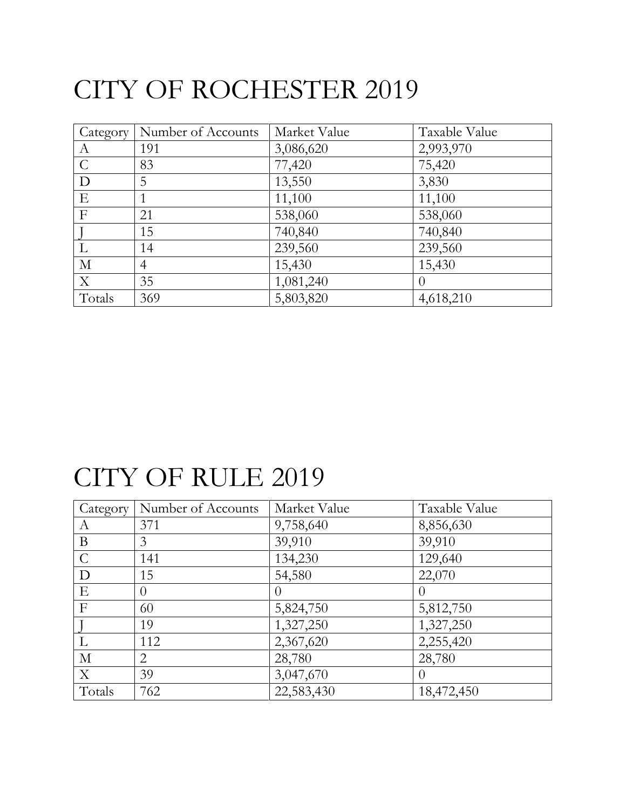# CITY OF ROCHESTER 2019

| Category      | Number of Accounts | Market Value | Taxable Value |
|---------------|--------------------|--------------|---------------|
| A             | 191                | 3,086,620    | 2,993,970     |
| $\mathcal{C}$ | 83                 | 77,420       | 75,420        |
| D             | 5                  | 13,550       | 3,830         |
| E             |                    | 11,100       | 11,100        |
| $\mathbf{F}$  | 21                 | 538,060      | 538,060       |
|               | 15                 | 740,840      | 740,840       |
|               | 14                 | 239,560      | 239,560       |
| $\mathbf{M}$  | $\overline{4}$     | 15,430       | 15,430        |
| $\mathbf X$   | 35                 | 1,081,240    | $\theta$      |
| Totals        | 369                | 5,803,820    | 4,618,210     |

### CITY OF RULE 2019

| Category       | Number of Accounts | Market Value | Taxable Value  |
|----------------|--------------------|--------------|----------------|
| A              | 371                | 9,758,640    | 8,856,630      |
| B              | 3                  | 39,910       | 39,910         |
| $\mathcal{C}$  | 141                | 134,230      | 129,640        |
| D              | 15                 | 54,580       | 22,070         |
| E              | $\theta$           | 0            | $\overline{0}$ |
| $\overline{F}$ | 60                 | 5,824,750    | 5,812,750      |
|                | 19                 | 1,327,250    | 1,327,250      |
|                | 112                | 2,367,620    | 2,255,420      |
| $\mathbf{M}$   | $\overline{2}$     | 28,780       | 28,780         |
| X              | 39                 | 3,047,670    | $\Omega$       |
| Totals         | 762                | 22,583,430   | 18,472,450     |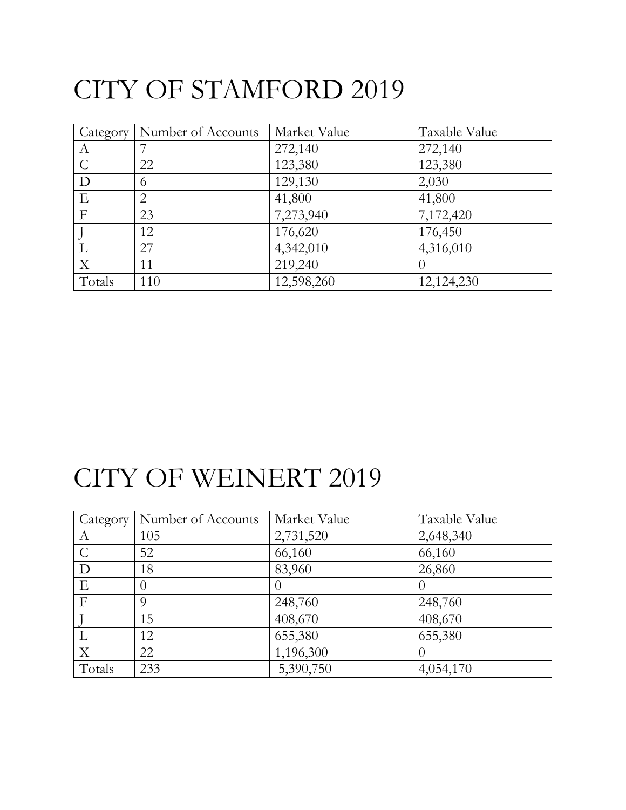# CITY OF STAMFORD 2019

|                           | Category   Number of Accounts | Market Value | Taxable Value    |
|---------------------------|-------------------------------|--------------|------------------|
| A                         |                               | 272,140      | 272,140          |
| $\mathcal{C}$             | 22                            | 123,380      | 123,380          |
| D                         | 6                             | 129,130      | 2,030            |
| E                         | 2                             | 41,800       | 41,800           |
| $\mathbf{F}$              | 23                            | 7,273,940    | 7,172,420        |
|                           | 12                            | 176,620      | 176,450          |
| L                         | 27                            | 4,342,010    | 4,316,010        |
| $\boldsymbol{\mathrm{X}}$ | 11                            | 219,240      | $\left( \right)$ |
| Totals                    | 110                           | 12,598,260   | 12,124,230       |

#### CITY OF WEINERT 2019

| Category      | Number of Accounts | Market Value | Taxable Value |
|---------------|--------------------|--------------|---------------|
| A             | 105                | 2,731,520    | 2,648,340     |
| $\mathcal{C}$ | 52                 | 66,160       | 66,160        |
| D             | 18                 | 83,960       | 26,860        |
| E             | $\left( \right)$   |              | $\theta$      |
| $\mathbf{F}$  | 9                  | 248,760      | 248,760       |
|               | 15                 | 408,670      | 408,670       |
|               | 12                 | 655,380      | 655,380       |
| X             | 22                 | 1,196,300    | $\theta$      |
| Totals        | 233                | 5,390,750    | 4,054,170     |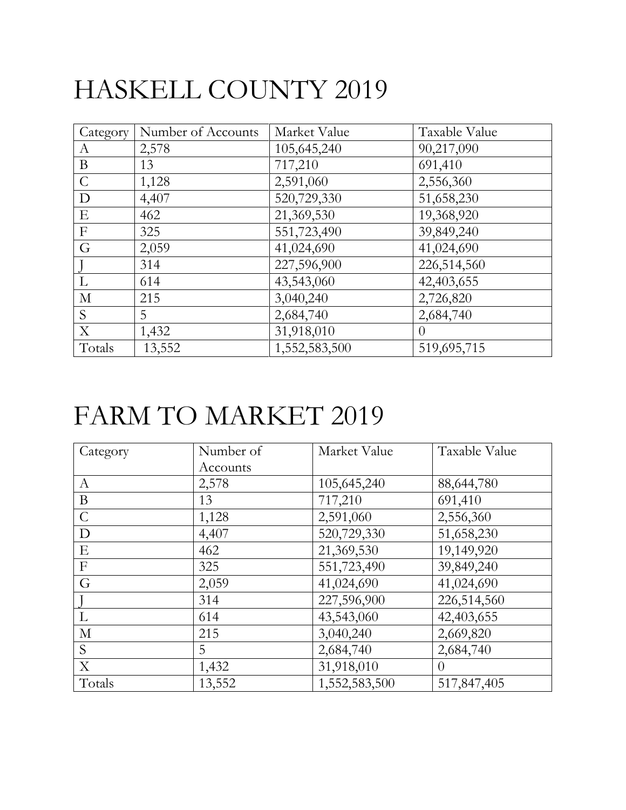# HASKELL COUNTY 2019

| Category      | Number of Accounts | Market Value  | Taxable Value |
|---------------|--------------------|---------------|---------------|
| A             | 2,578              | 105,645,240   | 90,217,090    |
| $\bf{B}$      | 13                 | 717,210       | 691,410       |
| $\mathcal{C}$ | 1,128              | 2,591,060     | 2,556,360     |
| D             | 4,407              | 520,729,330   | 51,658,230    |
| E             | 462                | 21,369,530    | 19,368,920    |
| $\mathbf F$   | 325                | 551,723,490   | 39,849,240    |
| G             | 2,059              | 41,024,690    | 41,024,690    |
|               | 314                | 227,596,900   | 226,514,560   |
| $\mathbf{L}$  | 614                | 43,543,060    | 42,403,655    |
| $\mathbf{M}$  | 215                | 3,040,240     | 2,726,820     |
| S             | 5                  | 2,684,740     | 2,684,740     |
| $\mathbf X$   | 1,432              | 31,918,010    | $\theta$      |
| Totals        | 13,552             | 1,552,583,500 | 519,695,715   |

## FARM TO MARKET 2019

| Category       | Number of | Market Value  | Taxable Value |
|----------------|-----------|---------------|---------------|
|                | Accounts  |               |               |
| A              | 2,578     | 105,645,240   | 88,644,780    |
| B              | 13        | 717,210       | 691,410       |
| $\mathcal{C}$  | 1,128     | 2,591,060     | 2,556,360     |
| D              | 4,407     | 520,729,330   | 51,658,230    |
| Ε              | 462       | 21,369,530    | 19,149,920    |
| $\overline{F}$ | 325       | 551,723,490   | 39,849,240    |
| G              | 2,059     | 41,024,690    | 41,024,690    |
|                | 314       | 227,596,900   | 226,514,560   |
| L              | 614       | 43,543,060    | 42,403,655    |
| $\mathbf{M}$   | 215       | 3,040,240     | 2,669,820     |
| S              | 5         | 2,684,740     | 2,684,740     |
| X              | 1,432     | 31,918,010    | $\Omega$      |
| Totals         | 13,552    | 1,552,583,500 | 517,847,405   |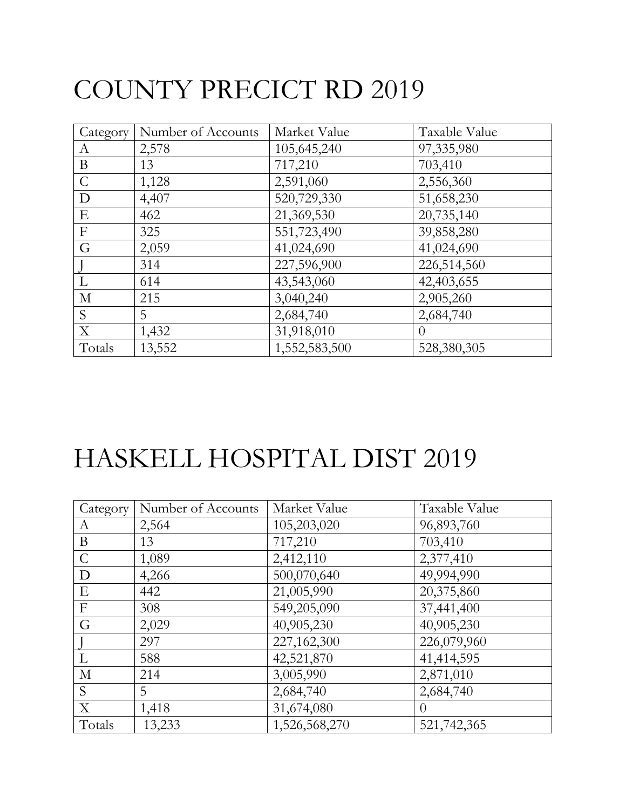# COUNTY PRECICT RD 2019

| Category      | Number of Accounts | Market Value  | Taxable Value |
|---------------|--------------------|---------------|---------------|
| A             | 2,578              | 105,645,240   | 97,335,980    |
| B             | 13                 | 717,210       | 703,410       |
| $\mathcal{C}$ | 1,128              | 2,591,060     | 2,556,360     |
| D             | 4,407              | 520,729,330   | 51,658,230    |
| E             | 462                | 21,369,530    | 20,735,140    |
| $\mathbf F$   | 325                | 551,723,490   | 39,858,280    |
| G             | 2,059              | 41,024,690    | 41,024,690    |
|               | 314                | 227,596,900   | 226,514,560   |
| $\mathbf{L}$  | 614                | 43,543,060    | 42,403,655    |
| $\mathbf{M}$  | 215                | 3,040,240     | 2,905,260     |
| S             | 5                  | 2,684,740     | 2,684,740     |
| $\mathbf X$   | 1,432              | 31,918,010    | $\theta$      |
| Totals        | 13,552             | 1,552,583,500 | 528,380,305   |

# HASKELL HOSPITAL DIST 2019

| Category         | Number of Accounts | Market Value  | Taxable Value |
|------------------|--------------------|---------------|---------------|
| A                | 2,564              | 105,203,020   | 96,893,760    |
| B                | 13                 | 717,210       | 703,410       |
| $\mathcal{C}$    | 1,089              | 2,412,110     | 2,377,410     |
| $\mathbf D$      | 4,266              | 500,070,640   | 49,994,990    |
| E                | 442                | 21,005,990    | 20,375,860    |
| $\boldsymbol{F}$ | 308                | 549,205,090   | 37,441,400    |
| G                | 2,029              | 40,905,230    | 40,905,230    |
|                  | 297                | 227,162,300   | 226,079,960   |
| L                | 588                | 42,521,870    | 41,414,595    |
| $\mathbf{M}$     | 214                | 3,005,990     | 2,871,010     |
| S                | 5                  | 2,684,740     | 2,684,740     |
| X                | 1,418              | 31,674,080    | $\theta$      |
| Totals           | 13,233             | 1,526,568,270 | 521,742,365   |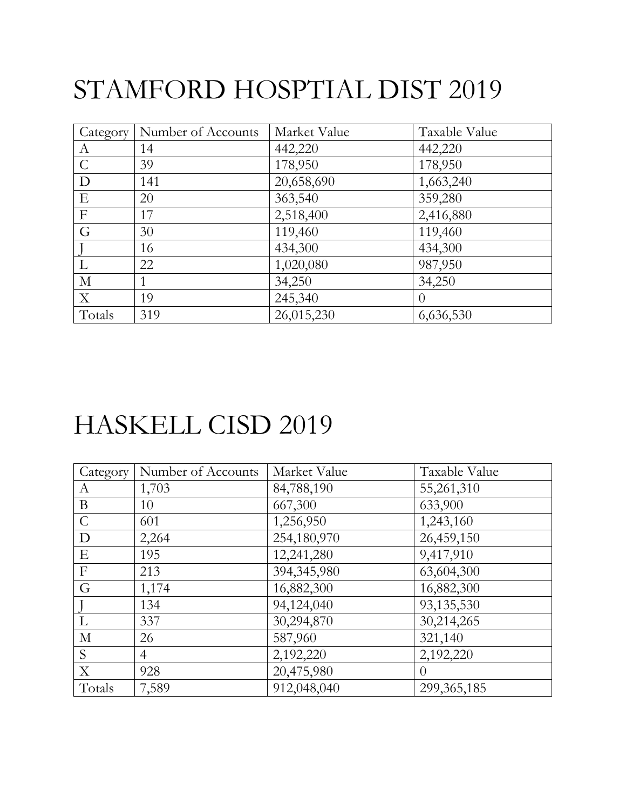# STAMFORD HOSPTIAL DIST 2019

| Category      | Number of Accounts | Market Value | Taxable Value |
|---------------|--------------------|--------------|---------------|
| A             | 14                 | 442,220      | 442,220       |
| $\mathcal{C}$ | 39                 | 178,950      | 178,950       |
| D             | 141                | 20,658,690   | 1,663,240     |
| E             | 20                 | 363,540      | 359,280       |
| $\mathbf{F}$  | 17                 | 2,518,400    | 2,416,880     |
| G             | 30                 | 119,460      | 119,460       |
|               | 16                 | 434,300      | 434,300       |
|               | 22                 | 1,020,080    | 987,950       |
| $\mathbf{M}$  |                    | 34,250       | 34,250        |
| X             | 19                 | 245,340      | $\theta$      |
| Totals        | 319                | 26,015,230   | 6,636,530     |

#### HASKELL CISD 2019

| Category         | Number of Accounts | Market Value  | Taxable Value |
|------------------|--------------------|---------------|---------------|
| A                | 1,703              | 84,788,190    | 55,261,310    |
| $\bf{B}$         | 10                 | 667,300       | 633,900       |
| $\mathcal{C}$    | 601                | 1,256,950     | 1,243,160     |
| D                | 2,264              | 254,180,970   | 26,459,150    |
| E                | 195                | 12,241,280    | 9,417,910     |
| $\boldsymbol{F}$ | 213                | 394, 345, 980 | 63,604,300    |
| G                | 1,174              | 16,882,300    | 16,882,300    |
|                  | 134                | 94,124,040    | 93,135,530    |
| L                | 337                | 30,294,870    | 30,214,265    |
| $\mathbf{M}$     | 26                 | 587,960       | 321,140       |
| S                | $\overline{4}$     | 2,192,220     | 2,192,220     |
| X                | 928                | 20,475,980    | $\theta$      |
| Totals           | 7,589              | 912,048,040   | 299, 365, 185 |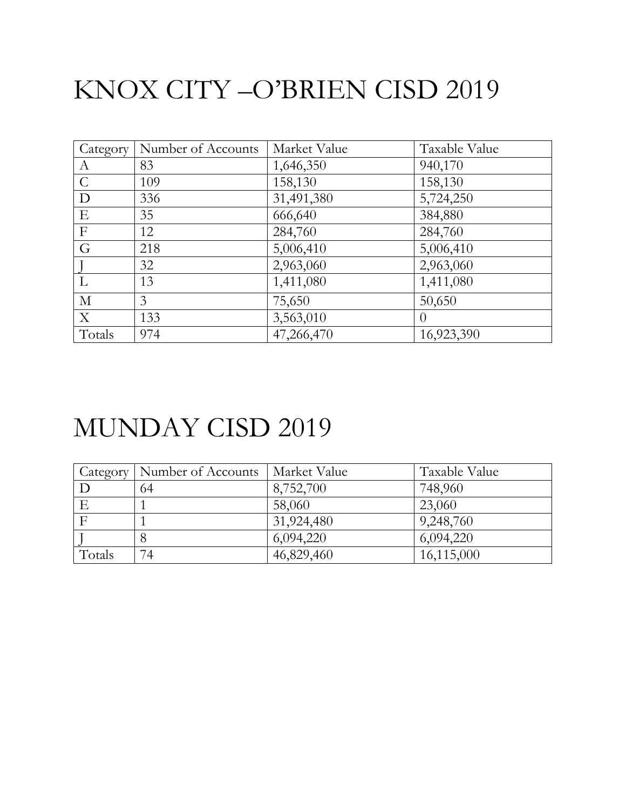## KNOX CITY –O'BRIEN CISD 2019

| Category         | Number of Accounts | Market Value | Taxable Value |
|------------------|--------------------|--------------|---------------|
| $\boldsymbol{A}$ | 83                 | 1,646,350    | 940,170       |
| $\mathcal{C}$    | 109                | 158,130      | 158,130       |
| D                | 336                | 31,491,380   | 5,724,250     |
| E                | 35                 | 666,640      | 384,880       |
| F                | 12                 | 284,760      | 284,760       |
| G                | 218                | 5,006,410    | 5,006,410     |
|                  | 32                 | 2,963,060    | 2,963,060     |
| L                | 13                 | 1,411,080    | 1,411,080     |
| $\mathbf{M}$     | 3                  | 75,650       | 50,650        |
| X                | 133                | 3,563,010    | $\theta$      |
| Totals           | 974                | 47,266,470   | 16,923,390    |

#### MUNDAY CISD 2019

| Category | Number of Accounts | Market Value | Taxable Value |
|----------|--------------------|--------------|---------------|
|          | 64                 | 8,752,700    | 748,960       |
|          |                    | 58,060       | 23,060        |
|          |                    | 31,924,480   | 9,248,760     |
|          |                    | 6,094,220    | 6,094,220     |
| Totals   | 74                 | 46,829,460   | 16,115,000    |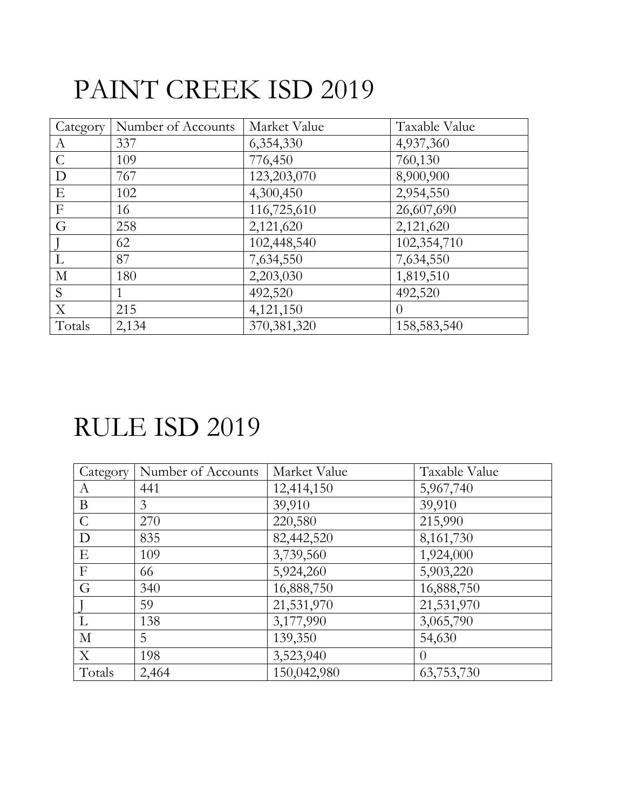## PAINT CREEK ISD 2019

| Category      | Number of Accounts | Market Value  | Taxable Value |
|---------------|--------------------|---------------|---------------|
| A             | 337                | 6,354,330     | 4,937,360     |
| $\mathcal{C}$ | 109                | 776,450       | 760,130       |
| D             | 767                | 123,203,070   | 8,900,900     |
| E             | 102                | 4,300,450     | 2,954,550     |
| $\mathbf{F}$  | 16                 | 116,725,610   | 26,607,690    |
| G             | 258                | 2,121,620     | 2,121,620     |
|               | 62                 | 102,448,540   | 102,354,710   |
| L             | 87                 | 7,634,550     | 7,634,550     |
| $\mathbf M$   | 180                | 2,203,030     | 1,819,510     |
| S             |                    | 492,520       | 492,520       |
| X             | 215                | 4,121,150     | $\theta$      |
| Totals        | 2,134              | 370, 381, 320 | 158,583,540   |

#### RULE ISD 2019

| Category       | Number of Accounts | Market Value | Taxable Value |
|----------------|--------------------|--------------|---------------|
| А              | 441                | 12,414,150   | 5,967,740     |
| B              | 3                  | 39,910       | 39,910        |
| $\mathcal{C}$  | 270                | 220,580      | 215,990       |
| D              | 835                | 82,442,520   | 8,161,730     |
| E              | 109                | 3,739,560    | 1,924,000     |
| $\overline{F}$ | 66                 | 5,924,260    | 5,903,220     |
| G              | 340                | 16,888,750   | 16,888,750    |
|                | 59                 | 21,531,970   | 21,531,970    |
| L              | 138                | 3,177,990    | 3,065,790     |
| M              | 5                  | 139,350      | 54,630        |
| X              | 198                | 3,523,940    | $\Omega$      |
| Totals         | 2,464              | 150,042,980  | 63,753,730    |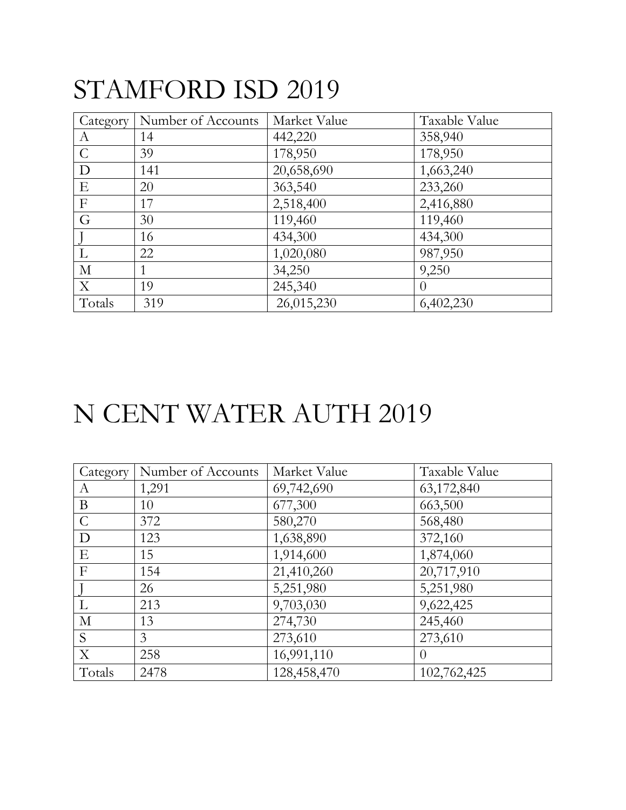### STAMFORD ISD 2019

| Category      | Number of Accounts | Market Value | Taxable Value  |
|---------------|--------------------|--------------|----------------|
| A             | 14                 | 442,220      | 358,940        |
| $\mathcal{C}$ | 39                 | 178,950      | 178,950        |
| D             | 141                | 20,658,690   | 1,663,240      |
| E             | 20                 | 363,540      | 233,260        |
| $\mathbf{F}$  | 17                 | 2,518,400    | 2,416,880      |
| G             | 30                 | 119,460      | 119,460        |
|               | 16                 | 434,300      | 434,300        |
| L             | 22                 | 1,020,080    | 987,950        |
| $\mathbf{M}$  | 1                  | 34,250       | 9,250          |
| X             | 19                 | 245,340      | $\overline{0}$ |
| Totals        | 319                | 26,015,230   | 6,402,230      |

### N CENT WATER AUTH 2019

| Category       | Number of Accounts | Market Value | Taxable Value    |
|----------------|--------------------|--------------|------------------|
| А              | 1,291              | 69,742,690   | 63,172,840       |
| B              | 10                 | 677,300      | 663,500          |
| $\mathcal{C}$  | 372                | 580,270      | 568,480          |
| D              | 123                | 1,638,890    | 372,160          |
| Ε              | 15                 | 1,914,600    | 1,874,060        |
| $\overline{F}$ | 154                | 21,410,260   | 20,717,910       |
|                | 26                 | 5,251,980    | 5,251,980        |
| L              | 213                | 9,703,030    | 9,622,425        |
| $\mathbf{M}$   | 13                 | 274,730      | 245,460          |
| S              | 3                  | 273,610      | 273,610          |
| X              | 258                | 16,991,110   | $\left( \right)$ |
| Totals         | 2478               | 128,458,470  | 102,762,425      |